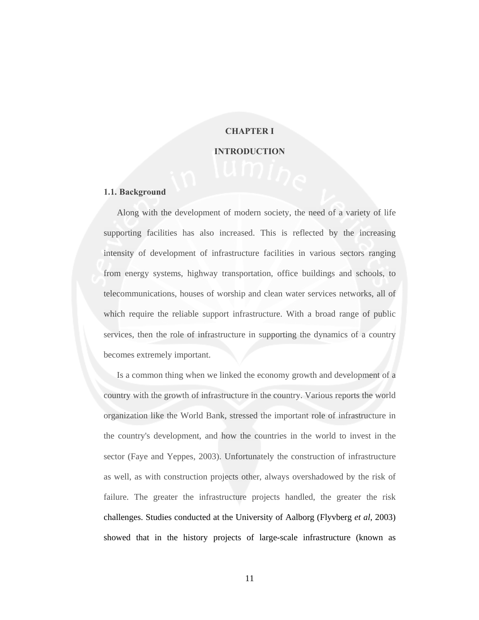### **CHAPTER I**

#### **INTRODUCTION**

#### **1.1. Background**

Along with the development of modern society, the need of a variety of life supporting facilities has also increased. This is reflected by the increasing intensity of development of infrastructure facilities in various sectors ranging from energy systems, highway transportation, office buildings and schools, to telecommunications, houses of worship and clean water services networks, all of which require the reliable support infrastructure. With a broad range of public services, then the role of infrastructure in supporting the dynamics of a country becomes extremely important.

Is a common thing when we linked the economy growth and development of a country with the growth of infrastructure in the country. Various reports the world organization like the World Bank, stressed the important role of infrastructure in the country's development, and how the countries in the world to invest in the sector (Faye and Yeppes, 2003). Unfortunately the construction of infrastructure as well, as with construction projects other, always overshadowed by the risk of failure. The greater the infrastructure projects handled, the greater the risk challenges. Studies conducted at the University of Aalborg (Flyvberg *et al*, 2003) showed that in the history projects of large-scale infrastructure (known as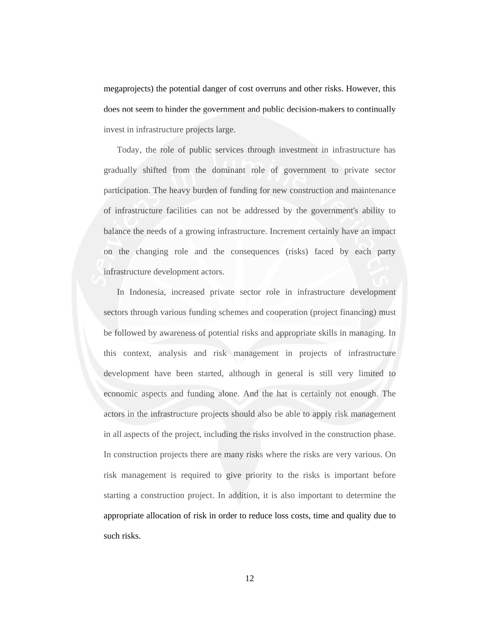megaprojects) the potential danger of cost overruns and other risks. However, this does not seem to hinder the government and public decision-makers to continually invest in infrastructure projects large.

Today, the role of public services through investment in infrastructure has gradually shifted from the dominant role of government to private sector participation. The heavy burden of funding for new construction and maintenance of infrastructure facilities can not be addressed by the government's ability to balance the needs of a growing infrastructure. Increment certainly have an impact on the changing role and the consequences (risks) faced by each party infrastructure development actors.

In Indonesia, increased private sector role in infrastructure development sectors through various funding schemes and cooperation (project financing) must be followed by awareness of potential risks and appropriate skills in managing. In this context, analysis and risk management in projects of infrastructure development have been started, although in general is still very limited to economic aspects and funding alone. And the hat is certainly not enough. The actors in the infrastructure projects should also be able to apply risk management in all aspects of the project, including the risks involved in the construction phase. In construction projects there are many risks where the risks are very various. On risk management is required to give priority to the risks is important before starting a construction project. In addition, it is also important to determine the appropriate allocation of risk in order to reduce loss costs, time and quality due to such risks.